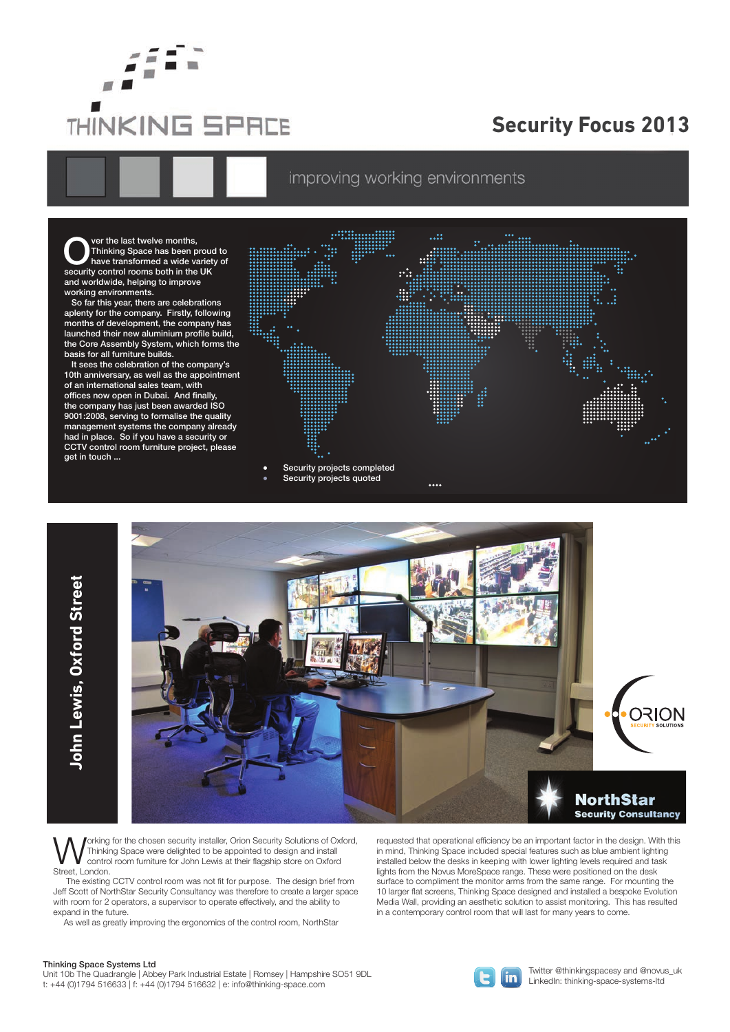

## **Security Focus 2013**

improving working environments

Over the last twelve months,<br>Thinking Space has been p<br>have transformed a wide value is Thinking Space has been proud to have transformed a wide variety of security control rooms both in the UK and worldwide, helping to improve working environments.

 So far this year, there are celebrations aplenty for the company. Firstly, following months of development, the company has launched their new aluminium profile build, the Core Assembly System, which forms the basis for all furniture builds.

 It sees the celebration of the company's 10th anniversary, as well as the appointment of an international sales team, with offices now open in Dubai. And finally, the company has just been awarded ISO 9001:2008, serving to formalise the quality management systems the company already had in place. So if you have a security or CCTV control room furniture project, please get in touch ...





**WALL CONTROVER SECUTE SECUTE IS SECUTE AT A POSTAL CONTROVER SOLUTION**<br>Thinking Space were delighted to be appointed to design and install<br>Street Leader from furniture for John Lewis at their flagship store on Oxford Thinking Space were delighted to be appointed to design and install control room furniture for John Lewis at their flagship store on Oxford Street, London.

 The existing CCTV control room was not fit for purpose. The design brief from Jeff Scott of NorthStar Security Consultancy was therefore to create a larger space with room for 2 operators, a supervisor to operate effectively, and the ability to expand in the future.

As well as greatly improving the ergonomics of the control room, NorthStar

requested that operational efficiency be an important factor in the design. With this in mind, Thinking Space included special features such as blue ambient lighting installed below the desks in keeping with lower lighting levels required and task lights from the Novus MoreSpace range. These were positioned on the desk surface to compliment the monitor arms from the same range. For mounting the 10 larger flat screens, Thinking Space designed and installed a bespoke Evolution Media Wall, providing an aesthetic solution to assist monitoring. This has resulted in a contemporary control room that will last for many years to come.

## Thinking Space Systems Ltd

**John Lewis, Oxford Street**

John Lewis, Oxford Street

Unit 10b The Quadrangle | Abbey Park Industrial Estate | Romsey | Hampshire SO51 9DL t: +44 (0)1794 516633 | f: +44 (0)1794 516632 | e: info@thinking-space.com



Twitter @thinkingspacesy and @novus\_uk LinkedIn: thinking-space-systems-ltd